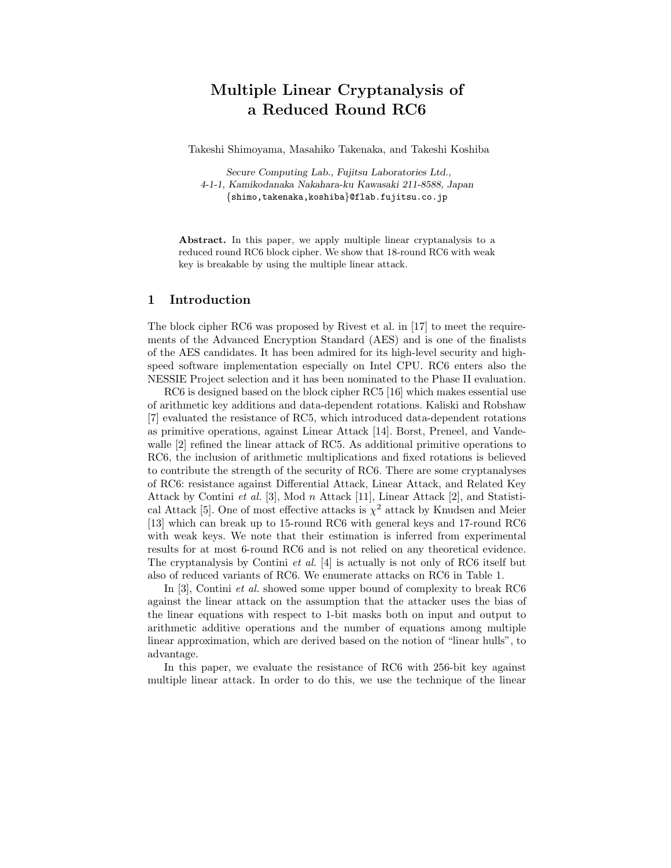# Multiple Linear Cryptanalysis of a Reduced Round RC6

Takeshi Shimoyama, Masahiko Takenaka, and Takeshi Koshiba

Secure Computing Lab., Fujitsu Laboratories Ltd., 4-1-1, Kamikodanaka Nakahara-ku Kawasaki 211-8588, Japan {shimo,takenaka,koshiba}@flab.fujitsu.co.jp

Abstract. In this paper, we apply multiple linear cryptanalysis to a reduced round RC6 block cipher. We show that 18-round RC6 with weak key is breakable by using the multiple linear attack.

## 1 Introduction

The block cipher RC6 was proposed by Rivest et al. in [17] to meet the requirements of the Advanced Encryption Standard (AES) and is one of the finalists of the AES candidates. It has been admired for its high-level security and highspeed software implementation especially on Intel CPU. RC6 enters also the NESSIE Project selection and it has been nominated to the Phase II evaluation.

RC6 is designed based on the block cipher RC5 [16] which makes essential use of arithmetic key additions and data-dependent rotations. Kaliski and Robshaw [7] evaluated the resistance of RC5, which introduced data-dependent rotations as primitive operations, against Linear Attack [14]. Borst, Preneel, and Vandewalle [2] refined the linear attack of RC5. As additional primitive operations to RC6, the inclusion of arithmetic multiplications and fixed rotations is believed to contribute the strength of the security of RC6. There are some cryptanalyses of RC6: resistance against Differential Attack, Linear Attack, and Related Key Attack by Contini et al. [3], Mod n Attack [11], Linear Attack [2], and Statistical Attack [5]. One of most effective attacks is  $\chi^2$  attack by Knudsen and Meier [13] which can break up to 15-round RC6 with general keys and 17-round RC6 with weak keys. We note that their estimation is inferred from experimental results for at most 6-round RC6 and is not relied on any theoretical evidence. The cryptanalysis by Contini *et al.* [4] is actually is not only of RC6 itself but also of reduced variants of RC6. We enumerate attacks on RC6 in Table 1.

In [3], Contini et al. showed some upper bound of complexity to break RC6 against the linear attack on the assumption that the attacker uses the bias of the linear equations with respect to 1-bit masks both on input and output to arithmetic additive operations and the number of equations among multiple linear approximation, which are derived based on the notion of "linear hulls", to advantage.

In this paper, we evaluate the resistance of RC6 with 256-bit key against multiple linear attack. In order to do this, we use the technique of the linear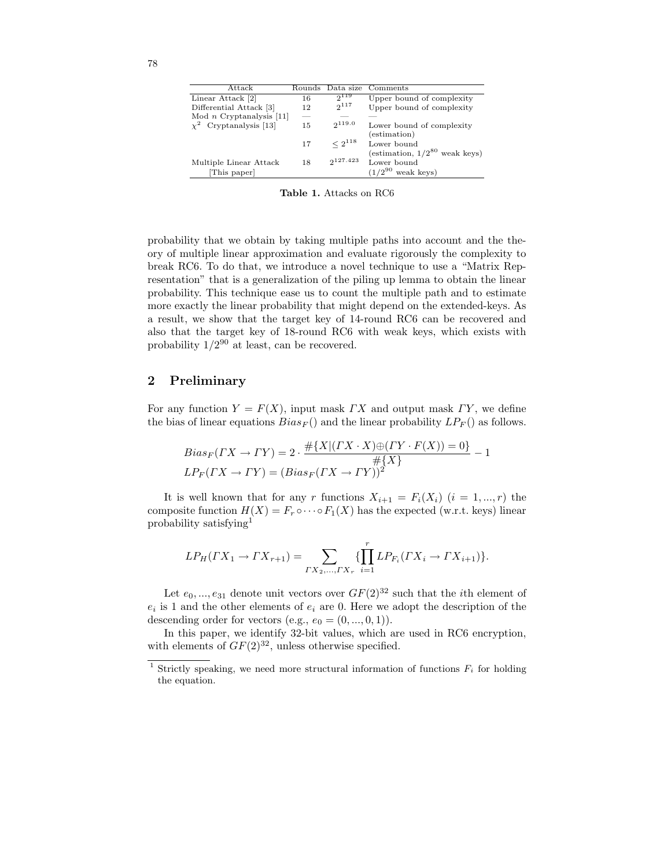| Attack                      |    | Rounds Data size | Comments                           |
|-----------------------------|----|------------------|------------------------------------|
| Linear Attack [2]           | 16 | $2^{119}$        | Upper bound of complexity          |
| Differential Attack [3]     | 12 | $2^{117}$        | Upper bound of complexity          |
| Mod $n$ Cryptanalysis [11]  |    |                  |                                    |
| $\chi^2$ Cryptanalysis [13] | 15 | 2119.0           | Lower bound of complexity          |
|                             |    |                  | (estimation)                       |
|                             | 17 | $\leq 2^{118}$   | Lower bound                        |
|                             |    |                  | (estimation, $1/2^{80}$ weak keys) |
| Multiple Linear Attack      | 18 | $2^{127.423}$    | Lower bound                        |
| [This paper]                |    |                  | $(1/2^{90}$ weak keys)             |
|                             |    |                  |                                    |

Table 1. Attacks on RC6

probability that we obtain by taking multiple paths into account and the theory of multiple linear approximation and evaluate rigorously the complexity to break RC6. To do that, we introduce a novel technique to use a "Matrix Representation" that is a generalization of the piling up lemma to obtain the linear probability. This technique ease us to count the multiple path and to estimate more exactly the linear probability that might depend on the extended-keys. As a result, we show that the target key of 14-round RC6 can be recovered and also that the target key of 18-round RC6 with weak keys, which exists with probability  $1/2^{90}$  at least, can be recovered.

#### 2 Preliminary

For any function  $Y = F(X)$ , input mask  $\Gamma X$  and output mask  $\Gamma Y$ , we define the bias of linear equations  $Bias_F()$  and the linear probability  $LP_F()$  as follows.

$$
Bias_F(TX \to \Gamma Y) = 2 \cdot \frac{\# \{X | (TX \cdot X) \oplus (TY \cdot F(X)) = 0\}}{\# \{X\}}
$$
  

$$
LP_F(TX \to \Gamma Y) = (Bias_F(TX \to \Gamma Y))^2
$$

It is well known that for any r functions  $X_{i+1} = F_i(X_i)$   $(i = 1, ..., r)$  the composite function  $H(X) = F_r \circ \cdots \circ F_1(X)$  has the expected (w.r.t. keys) linear probability satisfying<sup>1</sup>

$$
LP_H(TX_1 \to TX_{r+1}) = \sum_{\substack{TX_2,\ldots,TX_r}} \{ \prod_{i=1}^r LP_{F_i}(TX_i \to TX_{i+1}) \}.
$$

Let  $e_0, ..., e_{31}$  denote unit vectors over  $GF(2)^{32}$  such that the *i*th element of  $e_i$  is 1 and the other elements of  $e_i$  are 0. Here we adopt the description of the descending order for vectors (e.g.,  $e_0 = (0, ..., 0, 1)$ ).

In this paper, we identify 32-bit values, which are used in RC6 encryption, with elements of  $GF(2)^{32}$ , unless otherwise specified.

<sup>&</sup>lt;sup>1</sup> Strictly speaking, we need more structural information of functions  $F_i$  for holding the equation.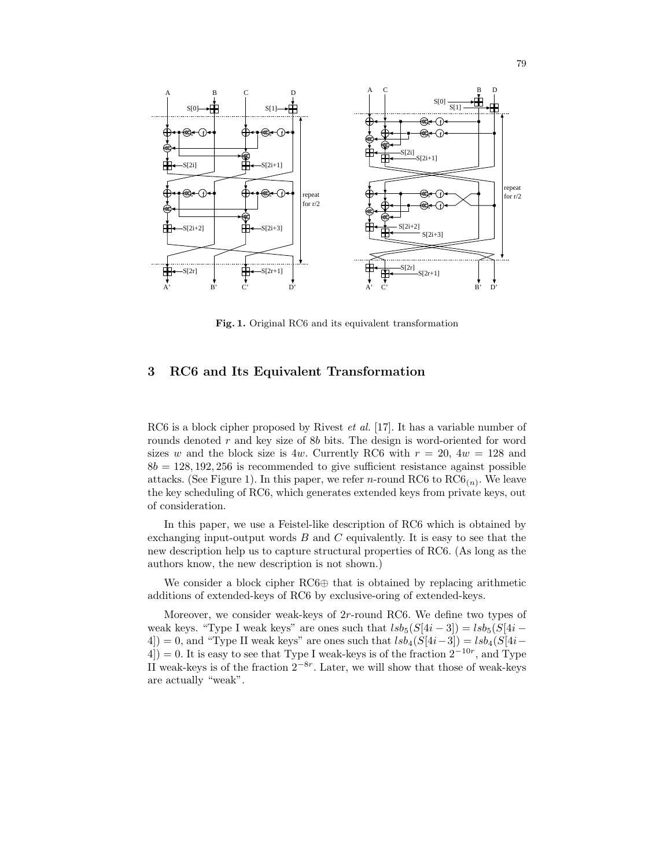

Fig. 1. Original RC6 and its equivalent transformation

## 3 RC6 and Its Equivalent Transformation

RC6 is a block cipher proposed by Rivest *et al.* [17]. It has a variable number of rounds denoted r and key size of 8b bits. The design is word-oriented for word sizes w and the block size is 4w. Currently RC6 with  $r = 20$ ,  $4w = 128$  and  $8b = 128, 192, 256$  is recommended to give sufficient resistance against possible attacks. (See Figure 1). In this paper, we refer *n*-round RC6 to  $\text{RC6}_{(n)}$ . We leave the key scheduling of RC6, which generates extended keys from private keys, out of consideration.

In this paper, we use a Feistel-like description of RC6 which is obtained by exchanging input-output words  $B$  and  $C$  equivalently. It is easy to see that the new description help us to capture structural properties of RC6. (As long as the authors know, the new description is not shown.)

We consider a block cipher RC6⊕ that is obtained by replacing arithmetic additions of extended-keys of RC6 by exclusive-oring of extended-keys.

Moreover, we consider weak-keys of 2r-round RC6. We define two types of weak keys. "Type I weak keys" are ones such that  $lsb_5(S[4i-3]) = lsb_5(S[4i-$ 4]) = 0, and "Type II weak keys" are ones such that  $lsb<sub>4</sub>(S[4i-3]) = lsb<sub>4</sub>(S[4i-$ 4) = 0. It is easy to see that Type I weak-keys is of the fraction  $2^{-10r}$ , and Type II weak-keys is of the fraction  $2^{-8r}$ . Later, we will show that those of weak-keys are actually "weak".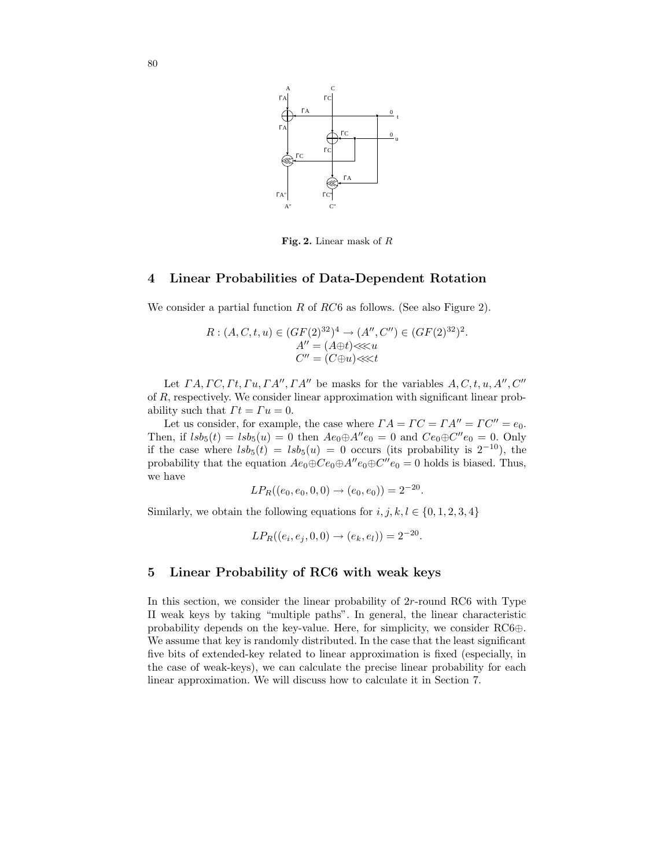

Fig. 2. Linear mask of  $R$ 

#### 4 Linear Probabilities of Data-Dependent Rotation

We consider a partial function  $R$  of  $RC6$  as follows. (See also Figure 2).

$$
R: (A, C, t, u) \in (GF(2)^{32})^{4} \to (A'', C'') \in (GF(2)^{32})^{2}.
$$
  
\n
$$
A'' = (A \oplus t) \lllt u
$$
  
\n
$$
C'' = (C \oplus u) \lllt t
$$

Let  $\Gamma A, \Gamma C, \Gamma t, \Gamma u, \Gamma A'', \Gamma A''$  be masks for the variables  $A, C, t, u, A'', C''$ of R, respectively. We consider linear approximation with significant linear probability such that  $\Gamma t = \Gamma u = 0$ .

Let us consider, for example, the case where  $\Gamma A = \Gamma C = \Gamma A'' = \Gamma C'' = e_0$ . Then, if  $lsb_5(t) = lsb_5(u) = 0$  then  $Ae_0 \oplus A''e_0 = 0$  and  $Ce_0 \oplus C''e_0 = 0$ . Only if the case where  $lsb_5(t) = lsb_5(u) = 0$  occurs (its probability is  $2^{-10}$ ), the probability that the equation  $Ae_0 \oplus Ce_0 \oplus A''e_0 \oplus C''e_0 = 0$  holds is biased. Thus, we have

$$
LP_R((e_0, e_0, 0, 0) \to (e_0, e_0)) = 2^{-20}.
$$

Similarly, we obtain the following equations for  $i, j, k, l \in \{0, 1, 2, 3, 4\}$ 

$$
LP_R((e_i, e_j, 0, 0) \to (e_k, e_l)) = 2^{-20}.
$$

#### 5 Linear Probability of RC6 with weak keys

In this section, we consider the linear probability of  $2r$ -round RC6 with Type II weak keys by taking "multiple paths". In general, the linear characteristic probability depends on the key-value. Here, for simplicity, we consider RC6⊕. We assume that key is randomly distributed. In the case that the least significant five bits of extended-key related to linear approximation is fixed (especially, in the case of weak-keys), we can calculate the precise linear probability for each linear approximation. We will discuss how to calculate it in Section 7.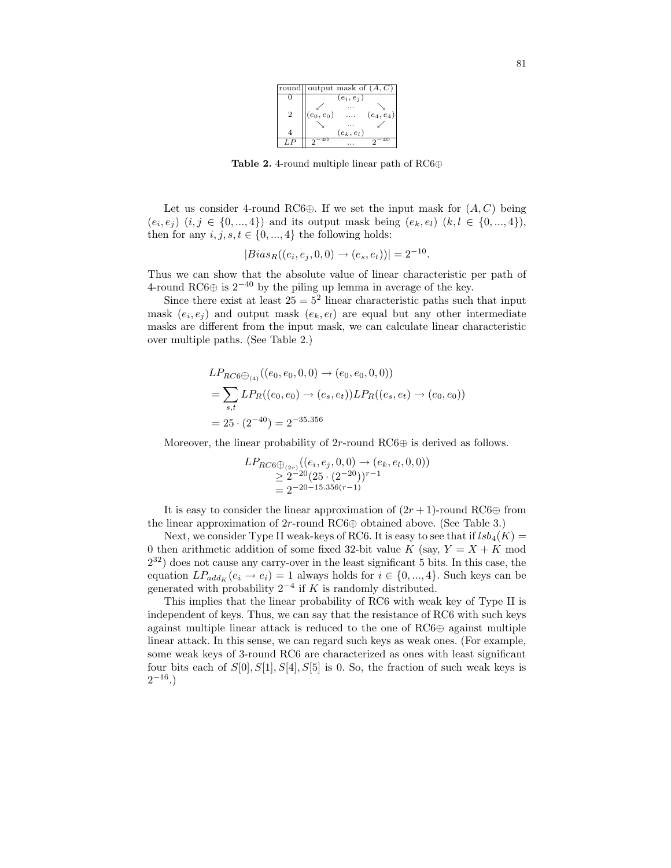| round          | output mask of $(A, C)$    |
|----------------|----------------------------|
|                | $(e_i, e_j)$               |
| $\overline{2}$ | $(e_4,e_4)$<br>$(e_0,e_0)$ |
|                | $(e_k, e_l)$               |
|                |                            |

Table 2. 4-round multiple linear path of RC6⊕

Let us consider 4-round RC6⊕. If we set the input mask for  $(A, C)$  being  $(e_i, e_j)$   $(i, j \in \{0, ..., 4\})$  and its output mask being  $(e_k, e_l)$   $(k, l \in \{0, ..., 4\})$ , then for any  $i, j, s, t \in \{0, ..., 4\}$  the following holds:

$$
|Bias_R((e_i, e_j, 0, 0) \to (e_s, e_t))|=2^{-10}.
$$

Thus we can show that the absolute value of linear characteristic per path of 4-round RC6⊕ is  $2^{-40}$  by the piling up lemma in average of the key.

Since there exist at least  $25 = 5^2$  linear characteristic paths such that input mask  $(e_i, e_j)$  and output mask  $(e_k, e_l)$  are equal but any other intermediate masks are different from the input mask, we can calculate linear characteristic over multiple paths. (See Table 2.)

$$
LP_{RC6 \oplus_{(4)}}((e_0, e_0, 0, 0) \to (e_0, e_0, 0, 0))
$$
  
= 
$$
\sum_{s,t} LP_R((e_0, e_0) \to (e_s, e_t))LP_R((e_s, e_t) \to (e_0, e_0))
$$
  
= 
$$
25 \cdot (2^{-40}) = 2^{-35.356}
$$

Moreover, the linear probability of  $2r$ -round RC6⊕ is derived as follows.

$$
LP_{RC6\bigoplus_{(2r)}((e_i, e_j, 0, 0) \to (e_k, e_l, 0, 0))}
$$
  
\n
$$
\geq 2^{-20} (25 \cdot (2^{-20}))^{r-1}
$$
  
\n
$$
= 2^{-20-15.356(r-1)}
$$

It is easy to consider the linear approximation of  $(2r + 1)$ -round RC6⊕ from the linear approximation of 2r-round RC6⊕ obtained above. (See Table 3.)

Next, we consider Type II weak-keys of RC6. It is easy to see that if  $lsb_4(K)$  = 0 then arithmetic addition of some fixed 32-bit value K (say,  $Y = X + K$  mod  $2^{32}$ ) does not cause any carry-over in the least significant 5 bits. In this case, the equation  $LP_{add_K}(e_i \rightarrow e_i) = 1$  always holds for  $i \in \{0, ..., 4\}$ . Such keys can be generated with probability  $2^{-4}$  if K is randomly distributed.

This implies that the linear probability of RC6 with weak key of Type II is independent of keys. Thus, we can say that the resistance of RC6 with such keys against multiple linear attack is reduced to the one of RC6⊕ against multiple linear attack. In this sense, we can regard such keys as weak ones. (For example, some weak keys of 3-round RC6 are characterized as ones with least significant four bits each of  $S[0], S[1], S[4], S[5]$  is 0. So, the fraction of such weak keys is  $2^{-16}$ .)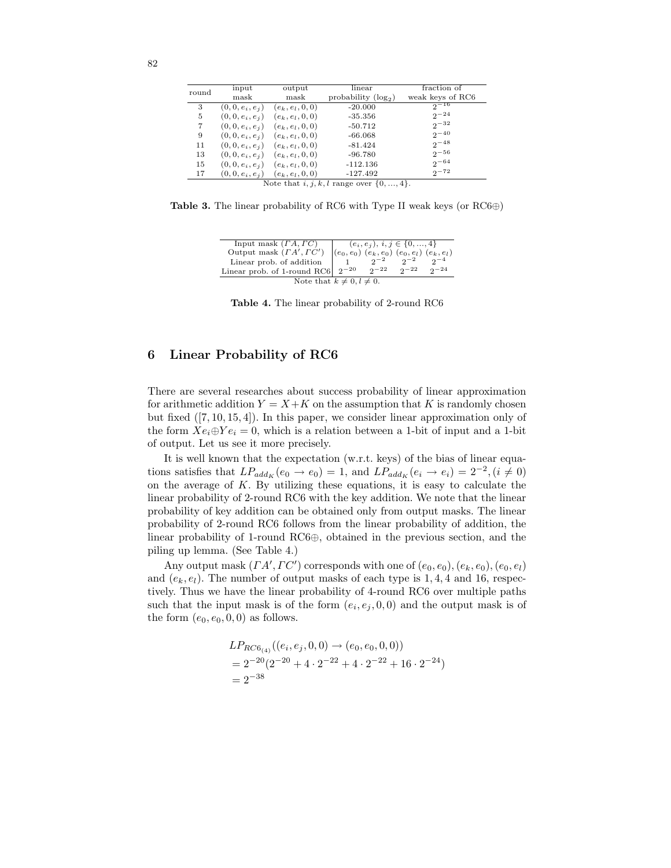| round | input                                            | output                                | linear                 | fraction of      |  |  |  |  |
|-------|--------------------------------------------------|---------------------------------------|------------------------|------------------|--|--|--|--|
|       | mask                                             | mask                                  | probability $(\log_2)$ | weak keys of RC6 |  |  |  |  |
| 3     | $(0, 0, e_i, e_i)$                               | $(e_k, e_l, 0, 0)$                    | $-20.000$              | $2^{\sim}$ 16    |  |  |  |  |
| 5     | $(0, 0, e_i, e_i)$                               | $(e_k, e_l, 0, 0)$                    | $-35.356$              | $2^{-24}$        |  |  |  |  |
| 7     |                                                  | $(0, 0, e_i, e_i)$ $(e_k, e_l, 0, 0)$ | $-50.712$              | $2^{-32}$        |  |  |  |  |
| 9     | $(0, 0, e_i, e_j)$                               | $(e_k, e_l, 0, 0)$                    | $-66.068$              | $2^{-40}$        |  |  |  |  |
| 11    | $(0, 0, e_i, e_i)$                               | $(e_k, e_l, 0, 0)$                    | $-81.424$              | $2^{-48}$        |  |  |  |  |
| 13    | $(0, 0, e_i, e_i)$                               | $(e_k, e_l, 0, 0)$                    | $-96.780$              | $2^{-56}$        |  |  |  |  |
| 15    | $(0, 0, e_i, e_i)$                               | $(e_k, e_l, 0, 0)$                    | $-112.136$             | $2^{\sim -64}$   |  |  |  |  |
| 17    | $(0, 0, e_i, e_i)$                               | $(e_k, e_l, 0, 0)$                    | $-127.492$             | $2^{-72}$        |  |  |  |  |
|       | Note that $i, j, k, l$ range over $\{0, , 4\}$ . |                                       |                        |                  |  |  |  |  |

**Table 3.** The linear probability of RC6 with Type II weak keys (or  $\text{RC6}\oplus$ )

| Input mask $(FA, \Gamma C)$                                                   |  | $(e_i, e_j), i, j \in \{0, , 4\}$ |             |            |  |  |  |  |
|-------------------------------------------------------------------------------|--|-----------------------------------|-------------|------------|--|--|--|--|
| Output mask $(FA', T'C')$ $(e_0, e_0)$ $(e_k, e_0)$ $(e_0, e_l)$ $(e_k, e_l)$ |  |                                   |             |            |  |  |  |  |
| Linear prob. of addition                                                      |  | $2^{\sim}$                        |             |            |  |  |  |  |
| Linear prob. of 1-round RC6 $2^{-20}$                                         |  | $2^{\sim}$                        | $2^{\circ}$ | $2^{\sim}$ |  |  |  |  |
| Note that $k \neq 0, l \neq 0$ .                                              |  |                                   |             |            |  |  |  |  |

Table 4. The linear probability of 2-round RC6

## 6 Linear Probability of RC6

There are several researches about success probability of linear approximation for arithmetic addition  $Y = X + K$  on the assumption that K is randomly chosen but fixed ([7, 10, 15, 4]). In this paper, we consider linear approximation only of the form  $Xe_i \oplus Ye_i = 0$ , which is a relation between a 1-bit of input and a 1-bit of output. Let us see it more precisely.

It is well known that the expectation (w.r.t. keys) of the bias of linear equations satisfies that  $LP_{add_K}(e_0 \to e_0) = 1$ , and  $LP_{add_K}(e_i \to e_i) = 2^{-2}$ ,  $(i \neq 0)$ on the average of  $K$ . By utilizing these equations, it is easy to calculate the linear probability of 2-round RC6 with the key addition. We note that the linear probability of key addition can be obtained only from output masks. The linear probability of 2-round RC6 follows from the linear probability of addition, the linear probability of 1-round RC6⊕, obtained in the previous section, and the piling up lemma. (See Table 4.)

Any output mask  $(IA', IC')$  corresponds with one of  $(e_0, e_0), (e_k, e_0), (e_0, e_l)$ and  $(e_k, e_l)$ . The number of output masks of each type is 1, 4, 4 and 16, respectively. Thus we have the linear probability of 4-round RC6 over multiple paths such that the input mask is of the form  $(e_i, e_j, 0, 0)$  and the output mask is of the form  $(e_0, e_0, 0, 0)$  as follows.

$$
LP_{RC6_{(4)}}((e_i, e_j, 0, 0) \rightarrow (e_0, e_0, 0, 0))
$$
  
=  $2^{-20}(2^{-20} + 4 \cdot 2^{-22} + 4 \cdot 2^{-22} + 16 \cdot 2^{-24})$   
=  $2^{-38}$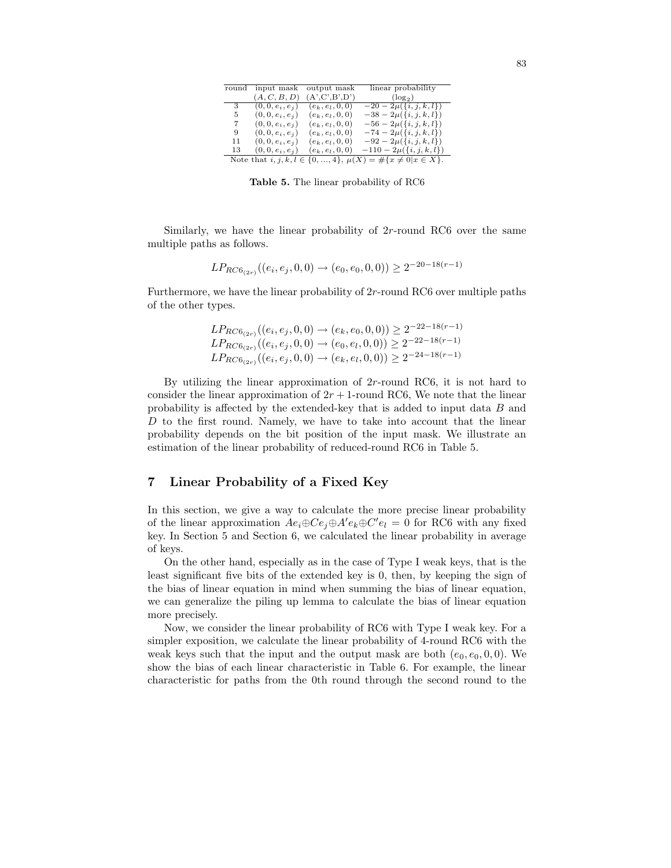| round | input mask         | output mask        | linear probability                                                        |
|-------|--------------------|--------------------|---------------------------------------------------------------------------|
|       | (A, C, B, D)       | (A', C', B', D')   | $(\log_2)$                                                                |
| 3     | $(0, 0, e_i, e_i)$ | $(e_k, e_l, 0, 0)$ | $-20-2\mu({i, j, k, l})$                                                  |
| 5     | $(0, 0, e_i, e_i)$ | $(e_k, e_l, 0, 0)$ | $-38-2\mu({i, j, k, l})$                                                  |
| 7     | $(0, 0, e_i, e_i)$ | $(e_k, e_l, 0, 0)$ | $-56-2\mu({i, j, k, l})$                                                  |
| 9     | $(0, 0, e_i, e_i)$ | $(e_k, e_l, 0, 0)$ | $-74-2\mu({i,j,k,l})$                                                     |
| 11    | $(0, 0, e_i, e_i)$ | $(e_k, e_l, 0, 0)$ | $-92-2\mu({i, j, k, l})$                                                  |
| 13    | $(0, 0, e_i, e_i)$ | $(e_k, e_l, 0, 0)$ | $-110-2\mu({i,j,k,l})$                                                    |
|       |                    |                    | Note that $i, j, k, l \in \{0, , 4\}, \mu(X) = \#\{x \neq 0   x \in X\}.$ |

Table 5. The linear probability of RC6

Similarly, we have the linear probability of  $2r$ -round RC6 over the same multiple paths as follows.

$$
LP_{RC6_{(2r)}}((e_i, e_j, 0, 0) \to (e_0, e_0, 0, 0)) \ge 2^{-20 - 18(r-1)}
$$

Furthermore, we have the linear probability of 2r-round RC6 over multiple paths of the other types.

$$
LP_{RC6_{(2r)}}((e_i, e_j, 0, 0) \to (e_k, e_0, 0, 0)) \ge 2^{-22-18(r-1)}
$$
  
\n
$$
LP_{RC6_{(2r)}}((e_i, e_j, 0, 0) \to (e_0, e_l, 0, 0)) \ge 2^{-22-18(r-1)}
$$
  
\n
$$
LP_{RC6_{(2r)}}((e_i, e_j, 0, 0) \to (e_k, e_l, 0, 0)) \ge 2^{-24-18(r-1)}
$$

By utilizing the linear approximation of  $2r$ -round RC6, it is not hard to consider the linear approximation of  $2r + 1$ -round RC6, We note that the linear probability is affected by the extended-key that is added to input data B and  $D$  to the first round. Namely, we have to take into account that the linear probability depends on the bit position of the input mask. We illustrate an estimation of the linear probability of reduced-round RC6 in Table 5.

## 7 Linear Probability of a Fixed Key

In this section, we give a way to calculate the more precise linear probability of the linear approximation  $Ae_i \oplus Ce_j \oplus A'e_k \oplus C'e_l = 0$  for RC6 with any fixed key. In Section 5 and Section 6, we calculated the linear probability in average of keys.

On the other hand, especially as in the case of Type I weak keys, that is the least significant five bits of the extended key is 0, then, by keeping the sign of the bias of linear equation in mind when summing the bias of linear equation, we can generalize the piling up lemma to calculate the bias of linear equation more precisely.

Now, we consider the linear probability of RC6 with Type I weak key. For a simpler exposition, we calculate the linear probability of 4-round RC6 with the weak keys such that the input and the output mask are both  $(e_0, e_0, 0, 0)$ . We show the bias of each linear characteristic in Table 6. For example, the linear characteristic for paths from the 0th round through the second round to the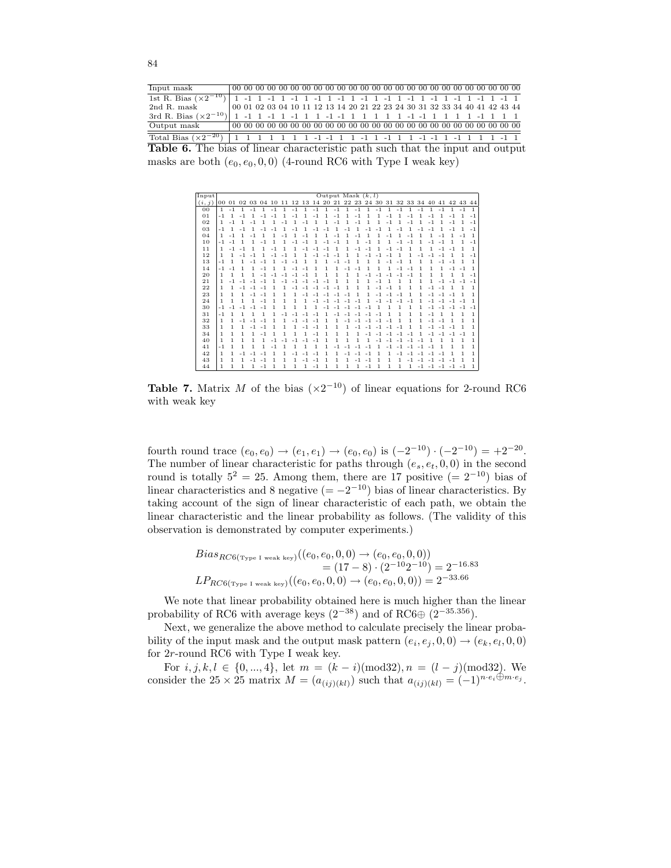Input mask 00 00 00 00 00 00 00 00 00 00 00 00 00 00 00 00 00 00 00 00 00 00 00 00 00 1st R. Bias  $(\times 2$  2nd R. mask <sup>−</sup>10) 1 -1 1 -1 1 -1 1 -1 1 -1 1 -1 1 -1 1 -1 1 -1 1 -1 1 -1 1 -1 1 2nd R. mask 00 01 02 03 04 10 11 12 13 14 20 21 22 23 24 30 31 32 33 34 40 41 42 43 44  $\frac{3rd \text{ R}}{$ Output mask <sup>−</sup>10) 1 -1 1 -1 1 -1 1 1 -1 -1 1 1 1 1 1 -1 -1 1 1 1 1 -1 1 1 1 Output mask 00 00 00 00 00 00 00 00 00 00 00 00 00 00 00 00 00 00 00 00 00 00 00 00 00 Total Bias ( $\times 2$ <sup>−</sup>20) 1 1 1 1 1 1 1 -1 -1 1 1 -1 1 -1 1 1 -1 -1 1 -1 1 1 1 -1 1 Table 6. The bias of linear characteristic path such that the input and output masks are both  $(e_0, e_0, 0, 0)$  (4-round RC6 with Type I weak key)

| Input  |              |       |      |      |                               |      |      |      |      |         | Output Mask $(k, l)$ |      |              |      |      |                            |      |      |              |      |      |      |      |          |              |
|--------|--------------|-------|------|------|-------------------------------|------|------|------|------|---------|----------------------|------|--------------|------|------|----------------------------|------|------|--------------|------|------|------|------|----------|--------------|
| (i, j) |              | 00 01 |      |      | 02 03 04 10 11 12 13 14 20 21 |      |      |      |      |         |                      |      |              |      |      | 22 23 24 30 31 32 33 34 40 |      |      |              |      |      | 41   |      | 42 43 44 |              |
| 00     | $\mathbf{1}$ | $-1$  | 1    | $-1$ | 1                             | $-1$ | 1    | $-1$ | 1    | $-1$    | $\mathbf{1}$         | $-1$ | $\mathbf{1}$ | $-1$ | 1    | $-1$                       | 1    | $-1$ | 1            | $-1$ | 1    | $-1$ | 1    | $-1$     | 1.           |
| 01     | $-1$         |       | $-1$ |      | $-1$                          | $-1$ | 1    | $-1$ | 1    | $-1$    |                      | $-1$ | 1            | $-1$ | 1    | 1                          | $-1$ | 1    | $-1$         | 1    | $-1$ | 1    | $-1$ |          | $-1$         |
| 02     | $\mathbf{1}$ | $-1$  | 1    | $-1$ | 1                             | 1    | $-1$ | 1    | $-1$ | 1       | 1                    | $-1$ | 1            | $-1$ | 1    | 1                          | $-1$ | 1    | $-1$         | 1    | $-1$ | 1    | $-1$ | 1        | $-1$         |
| 03     | $-1$         |       | $-1$ |      |                               | $-1$ | 1    | $-1$ | 1    | 1<br>Ĭ. | $-1$                 | 1    | $-1$         | 1    | $-1$ |                            | 1    | $-1$ | 1            |      | $-1$ |      | $-1$ |          | $-1$         |
| 04     | 1            | $-1$  |      | $-1$ |                               |      |      |      | $-1$ |         |                      | $-1$ |              | $-1$ |      | 1                          | $-1$ |      | $-1$         |      | 1    |      |      |          | 1            |
| 10     | $-1$         | $-1$  | 1    | 1    | $-1$                          | 1    | 1    | $-1$ | $-1$ | 1       | $-1$                 | $-1$ | 1            | 1    | $-1$ | 1                          | 1    | - 1  | $-1$         | 1    | $-1$ | $-1$ | 1    | 1        | $-1$         |
| 11     | 1            | $-1$  | $-1$ |      | 1                             | $-1$ | 1    | 1    | $-1$ | $-1$    | $-1$                 | 1    |              | $-1$ | $-1$ |                            | $-1$ | - 1  | 1            | 1    | 1    | $-1$ | $-1$ | 1        | 1.           |
| 12     | 1            | 1     | $-1$ | $-1$ |                               | $-1$ |      |      |      |         |                      | $-1$ |              |      |      |                            |      | 1    |              |      |      |      |      | 1        | $-1$         |
| 13     | $-1$         | 1     | 1    | $-1$ | $-1$                          | 1    | $-1$ | $-1$ | 1    | 1       | 1                    | $-1$ | $-1$         | 1    | 1    | 1                          | $-1$ | $-1$ | 1            | 1    | 1    | $-1$ | $-1$ | 1        | 1            |
| 14     | $-1$         | $-1$  |      |      | $-1$                          |      | 1    | $-1$ | $-1$ | 1       | 1                    | 1    | $-1$         | $-1$ | 1    | 1                          | 1    | - 1  | $-1$         |      |      | 1    | $-1$ | $-1$     | 1            |
| 20     | $\mathbf{1}$ | 1     | 1    |      |                               |      |      | $-1$ |      |         | 1                    | 1    | 1            | 1    | $-1$ |                            |      |      |              |      | 1    |      |      |          | $-1$         |
| 21     | $\mathbf{1}$ | $-1$  |      | $-1$ | $-1$                          | 1    | $-1$ | $-1$ | $-1$ | $-1$    | $-1$                 | 1    | 1            | 1    | 1    | $-1$                       | 1    | 1    | 1            | 1    | 1    | $-1$ | $-1$ | $-1$     | $-1$         |
| 22     | 1            | 1     | $-1$ | - 1  | $-1$                          |      | 1    | $-1$ | $-1$ | $-1$    | $-1$                 | $-1$ | 1            | 1    | 1    | $-1$                       | $-1$ | 1    | 1            | 1    | $-1$ | $-1$ | 1    | 1        | 1            |
| 23     | 1            | 1     | 1    | $-1$ | $-1$                          |      | 1    |      |      |         | - 1                  | ٠    | $-1$         |      |      |                            | ٠    |      | 1            |      | - 1  | $-1$ | $-1$ |          | 1            |
| 24     | $\mathbf{1}$ | 1     | 1    | 1    | $-1$                          | 1    | 1    | 1    | 1    | - 1     | $-1$                 | $-1$ | $-1$         | $-1$ | 1    | $-1$                       | $-1$ | $-1$ | $-1$         | 1    | -1   | $-1$ | $-1$ | $-1$     | 1            |
| 30     | $-1$         |       |      | $-1$ | $-1$                          | 1    | 1    | 1    | 1    | 1       | - 1                  | $-1$ | $-1$         | $-1$ | $-1$ | 1                          |      | 1    | 1            | 1    | $-1$ | $-1$ | $-1$ |          | $-1$         |
| 31     | $-1$         |       |      |      |                               |      |      |      |      |         |                      | - 1  | $-1$         | $-1$ | $-1$ | $-1$                       |      | 1    | 1            |      | - 1  |      |      | 1        | 1            |
| 32     | $\mathbf{1}$ | 1     | $-1$ | $-1$ | $-1$                          | 1    | 1    | - 1  | $-1$ | $-1$    | 1                    | 1    | $-1$         | $-1$ | $-1$ | $-1$                       | $-1$ | 1    | 1            | 1    | $-1$ | $-1$ | 1    | 1        | 1            |
| 33     | 1            | 1     | 1    | $-1$ | $-1$                          |      | 1    | 1    | - 1  | $-1$    |                      | 1    | 1            | $-1$ | $-1$ | $-1$                       | $-1$ | $-1$ | 1            | 1    | $-1$ | $-1$ | $-1$ | 1        | 1            |
| 34     | 1            | 1     | 1    |      | $-1$                          |      | 1    |      |      |         |                      | 1    |              |      |      |                            | - 1  |      |              |      |      |      |      | $-1$     | 1            |
| 40     | $\mathbf{1}$ | 1     | 1    | 1    | 1                             | $-1$ | $-1$ | $-1$ | $-1$ | $-1$    | 1                    | 1    | 1            | 1    | 1    | $-1$                       | $-1$ | $-1$ | $-1$         | $-1$ | 1    | 1    | 1    | 1        | 1            |
| 41     | $-1$         | 1     | 1    |      |                               | $-1$ |      |      |      | 1       |                      |      |              |      | $-1$ |                            | $-1$ | $-1$ | $-1$         | $-1$ | $-1$ |      |      | 1        | 1            |
| 42     | $\mathbf{1}$ | 1     | $-1$ | $-1$ |                               | 1    | 1    | - 1  |      |         |                      |      |              |      |      | 1                          |      |      |              |      |      |      |      | 1        | 1            |
| 43     | $\mathbf{1}$ | 1     | 1    | $-1$ | $-1$                          | 1    | 1    | 1    | $-1$ | $-1$    | 1                    | 1    | 1            | $-1$ | $-1$ | 1                          | 1    | 1    | $-1$         | $-1$ | $-1$ | $-1$ | $-1$ | 1        | 1.           |
| 44     | 1            | 1     | 1    | 1    | $-1$                          | 1    | 1    | 1    | 1    | $-1$    | 1                    | 1    | 1            | 1    | $-1$ | 1                          | 1    | 1    | $\mathbf{1}$ | $-1$ | $-1$ | $-1$ | $-1$ | $-1$     | $\mathbf{1}$ |

**Table 7.** Matrix M of the bias  $(\times 2^{-10})$  of linear equations for 2-round RC6 with weak key

fourth round trace  $(e_0, e_0) \rightarrow (e_1, e_1) \rightarrow (e_0, e_0)$  is  $(-2^{-10}) \cdot (-2^{-10}) = +2^{-20}$ . The number of linear characteristic for paths through  $(e_s, e_t, 0, 0)$  in the second round is totally  $5^2 = 25$ . Among them, there are 17 positive  $(= 2^{-10})$  bias of linear characteristics and 8 negative  $(=-2^{-10})$  bias of linear characteristics. By taking account of the sign of linear characteristic of each path, we obtain the linear characteristic and the linear probability as follows. (The validity of this observation is demonstrated by computer experiments.)

$$
Bias_{RC6(\text{Type I weak key})}((e_0, e_0, 0, 0) \to (e_0, e_0, 0, 0))
$$
  
=  $(17 - 8) \cdot (2^{-10}2^{-10}) = 2^{-16.83}$   

$$
LP_{RC6(\text{Type I weak key})}((e_0, e_0, 0, 0) \to (e_0, e_0, 0, 0)) = 2^{-33.66}
$$

We note that linear probability obtained here is much higher than the linear probability of RC6 with average keys  $(2^{-38})$  and of RC6⊕  $(2^{-35.356})$ .

Next, we generalize the above method to calculate precisely the linear probability of the input mask and the output mask pattern  $(e_i, e_j, 0, 0) \rightarrow (e_k, e_l, 0, 0)$ for 2r-round RC6 with Type I weak key.

For  $i, j, k, l \in \{0, ..., 4\}$ , let  $m = (k - i) \pmod{32}$ ,  $n = (l - j) \pmod{32}$ . We consider the 25 × 25 matrix  $M = (a_{(ij)(kl)})$  such that  $a_{(ij)(kl)} = (-1)^{n \cdot e_i \oplus m \cdot e_j}$ .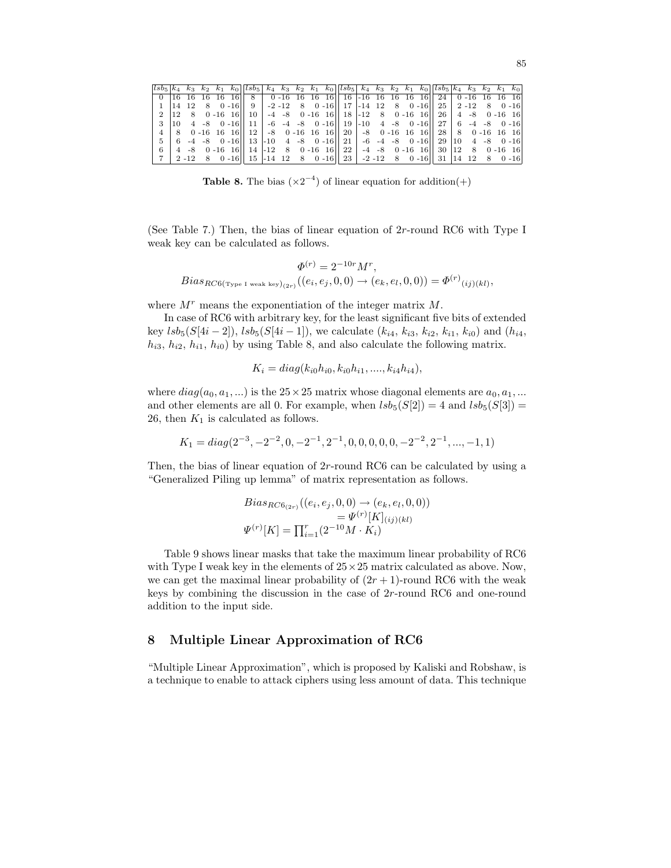| $lsb_5k_4k_3$ |    |                |  | $k_2$ $k_1$ $k_0$ $ lsb_5 $                                                                          | $k_4$ |  |  | $k_3$ $k_2$ $k_1$ $k_0$ $ lsb_5 $ $k_4$ $k_3$ $k_2$ $k_1$ $k_0$ $ lsb_5 $ $k_4$ $k_3$ $k_2$ $k_1$ $k_0$ |  |  |                           |  |  |          |
|---------------|----|----------------|--|------------------------------------------------------------------------------------------------------|-------|--|--|---------------------------------------------------------------------------------------------------------|--|--|---------------------------|--|--|----------|
|               |    |                |  |                                                                                                      |       |  |  |                                                                                                         |  |  |                           |  |  |          |
|               |    | 14 12 8        |  | 0 -16   9   -2 -12 8 0 -16   17   -14 12 8 0 -16   25   2 -12 8 0 -16                                |       |  |  |                                                                                                         |  |  |                           |  |  |          |
| 2             | 12 | - 8            |  | $0 - 16$ 16   10   $-4$ $-8$ 0 $-16$ 16   18   $-12$ 8 0 $-16$ 16   26   4 $-8$ 0 $-16$ 16           |       |  |  |                                                                                                         |  |  |                           |  |  |          |
|               | 10 | $\overline{4}$ |  | $-8$ 0 $-16$    11   $-6$ $-4$ $-8$ 0 $-16$    19   $-10$ 4 $-8$ 0 $-16$    27   6 $-4$ $-8$ 0 $-16$ |       |  |  |                                                                                                         |  |  |                           |  |  |          |
|               | 8  |                |  | $0-16$ 16 16 $ 12 $ -8 0 -16 16 16 $ 12 $ -8 0 -16 16 16 $ 12 $ 28   8 0 -16 16 16                   |       |  |  |                                                                                                         |  |  |                           |  |  |          |
| 5             | 6  |                |  | $-4$ $-8$ $0$ $-16$   13 $-10$ $4$ $-8$ $0$ $-16$   21 $-6$ $-4$ $-8$ $0$ $-16$   29   10 $4$ $-8$   |       |  |  |                                                                                                         |  |  |                           |  |  | $0 - 16$ |
| 6             |    |                |  | $0 - 16$ 16   14   -12 8 0 -16 16   22   -4 -8 0 -16 16   30   12 8 0 -16 16                         |       |  |  |                                                                                                         |  |  |                           |  |  |          |
|               |    | $2 - 12$ 8     |  | $0 - 16$   15   -14 12 8 0 -16   23   -2 -12 8                                                       |       |  |  |                                                                                                         |  |  | $0 - 16$ 31 4 12 8 0 - 16 |  |  |          |

**Table 8.** The bias  $(\times 2^{-4})$  of linear equation for addition(+)

(See Table 7.) Then, the bias of linear equation of 2r-round RC6 with Type I weak key can be calculated as follows.

$$
\Phi^{(r)} = 2^{-10r} M^r,
$$
  
\n
$$
Bias_{RC6(\text{Type I weak key})_{(2r)}}((e_i, e_j, 0, 0) \to (e_k, e_l, 0, 0)) = \Phi^{(r)}_{(ij)(kl)},
$$

where  $M<sup>r</sup>$  means the exponentiation of the integer matrix  $M$ .

In case of RC6 with arbitrary key, for the least significant five bits of extended key  $lsb_5(S[4i-2]), \, lsb_5(S[4i-1]),$  we calculate  $(k_{i4}, k_{i3}, k_{i2}, k_{i1}, k_{i0})$  and  $(h_{i4},$  $h_{i3}, h_{i2}, h_{i1}, h_{i0}$  by using Table 8, and also calculate the following matrix.

$$
K_i = diag(k_{i0}h_{i0}, k_{i0}h_{i1}, \dots, k_{i4}h_{i4}),
$$

where  $diag(a_0, a_1, \ldots)$  is the  $25 \times 25$  matrix whose diagonal elements are  $a_0, a_1, \ldots$ and other elements are all 0. For example, when  $lsb_5(S[2]) = 4$  and  $lsb_5(S[3]) =$ 26, then  $K_1$  is calculated as follows.

$$
K_1 = diag(2^{-3}, -2^{-2}, 0, -2^{-1}, 2^{-1}, 0, 0, 0, 0, 0, -2^{-2}, 2^{-1}, ..., -1, 1)
$$

Then, the bias of linear equation of 2r-round RC6 can be calculated by using a "Generalized Piling up lemma" of matrix representation as follows.

$$
Bias_{RC6_{(2r)}}((e_i, e_j, 0, 0) \to (e_k, e_l, 0, 0))
$$
  
=  $\Psi^{(r)}[K]_{(ij)(kl)}$   

$$
\Psi^{(r)}[K] = \prod_{i=1}^r (2^{-10}M \cdot K_i)
$$

Table 9 shows linear masks that take the maximum linear probability of RC6 with Type I weak key in the elements of  $25 \times 25$  matrix calculated as above. Now, we can get the maximal linear probability of  $(2r + 1)$ -round RC6 with the weak keys by combining the discussion in the case of 2r-round RC6 and one-round addition to the input side.

# 8 Multiple Linear Approximation of RC6

"Multiple Linear Approximation", which is proposed by Kaliski and Robshaw, is a technique to enable to attack ciphers using less amount of data. This technique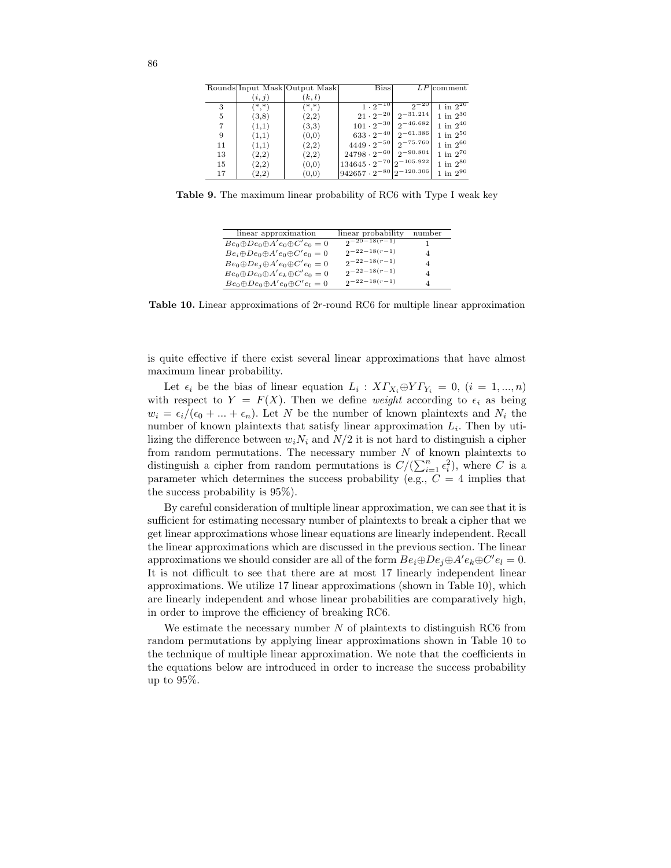|    |         | Rounds Input Mask Output Mask | <b>Bias</b>                                  |                                         | $LP$ comment      |
|----|---------|-------------------------------|----------------------------------------------|-----------------------------------------|-------------------|
|    | (i, j)  | (k, l)                        |                                              |                                         |                   |
| 3  | $(*,*)$ | $(*,*)$                       | $1 \cdot 2^{-10}$                            | $2^{-20}$                               | $1$ in $2^{20}$   |
| 5  | (3,8)   | (2,2)                         |                                              | $21 \cdot 2^{-20}$ 2 <sup>-31.214</sup> | $1$ in $2^{30}$   |
|    | (1,1)   | (3,3)                         | $101 \cdot 2^{-30}$ $2^{-46.682}$            |                                         | $1$ in $2^{40}$   |
| 9  | (1,1)   | (0,0)                         | $633 \cdot 2^{-40}$ $2^{-61.386}$            |                                         | $1$ in $2^{50}$   |
| 11 | (1,1)   | (2,2)                         | $4449 \cdot 2^{-50}$ 2-75.760                |                                         | $1$ in $2^{60}\,$ |
| 13 | (2,2)   | (2,2)                         | $24798 \cdot 2^{-60}$ 2 <sup>-90.804</sup>   |                                         | $1$ in $2^{70}\,$ |
| 15 | (2,2)   | (0,0)                         | $134645\cdot 2^{-70}   2^{-105.922}  $       |                                         | $1$ in $2^{80}$   |
| 17 | (2,2)   | (0,0)                         | $942657 \cdot 2^{-80}$ <sub>2</sub> -120.306 |                                         | $1$ in $2^{90}$   |

Table 9. The maximum linear probability of RC6 with Type I weak key

| linear approximation                             | linear probability | number |
|--------------------------------------------------|--------------------|--------|
| $Be_0 \oplus De_0 \oplus A'e_0 \oplus C'e_0 = 0$ | $2^{-(n-18(r-1))}$ |        |
| $Be_i \oplus De_0 \oplus A'e_0 \oplus C'e_0 = 0$ | $2^{-22-18(r-1)}$  | 4      |
| $Be_0 \oplus De_j \oplus A'e_0 \oplus C'e_0 = 0$ | $2^{-22-18(r-1)}$  | 4      |
| $Be_0 \oplus De_0 \oplus A'e_k \oplus C'e_0 = 0$ | $2^{-22-18(r-1)}$  | 4      |
| $Be_0 \oplus De_0 \oplus A'e_0 \oplus C'e_l = 0$ | $2^{-22-18(r-1)}$  | 4      |

Table 10. Linear approximations of 2r-round RC6 for multiple linear approximation

is quite effective if there exist several linear approximations that have almost maximum linear probability.

Let  $\epsilon_i$  be the bias of linear equation  $L_i: X\Gamma_{X_i} \oplus Y\Gamma_{Y_i} = 0, (i = 1, ..., n)$ with respect to  $Y = F(X)$ . Then we define *weight* according to  $\epsilon_i$  as being  $w_i = \epsilon_i/(\epsilon_0 + ... + \epsilon_n)$ . Let N be the number of known plaintexts and  $N_i$  the number of known plaintexts that satisfy linear approximation  $L_i$ . Then by utilizing the difference between  $w_iN_i$  and  $N/2$  it is not hard to distinguish a cipher from random permutations. The necessary number  $N$  of known plaintexts to distinguish a cipher from random permutations is  $C/(\sum_{i=1}^{n} \epsilon_i^2)$ , where C is a parameter which determines the success probability (e.g.,  $C = 4$  implies that the success probability is 95%).

By careful consideration of multiple linear approximation, we can see that it is sufficient for estimating necessary number of plaintexts to break a cipher that we get linear approximations whose linear equations are linearly independent. Recall the linear approximations which are discussed in the previous section. The linear approximations we should consider are all of the form  $Be_i \oplus De_j \oplus A'e_k \oplus C'e_l = 0$ . It is not difficult to see that there are at most 17 linearly independent linear approximations. We utilize 17 linear approximations (shown in Table 10), which are linearly independent and whose linear probabilities are comparatively high, in order to improve the efficiency of breaking RC6.

We estimate the necessary number  $N$  of plaintexts to distinguish RC6 from random permutations by applying linear approximations shown in Table 10 to the technique of multiple linear approximation. We note that the coefficients in the equations below are introduced in order to increase the success probability up to 95%.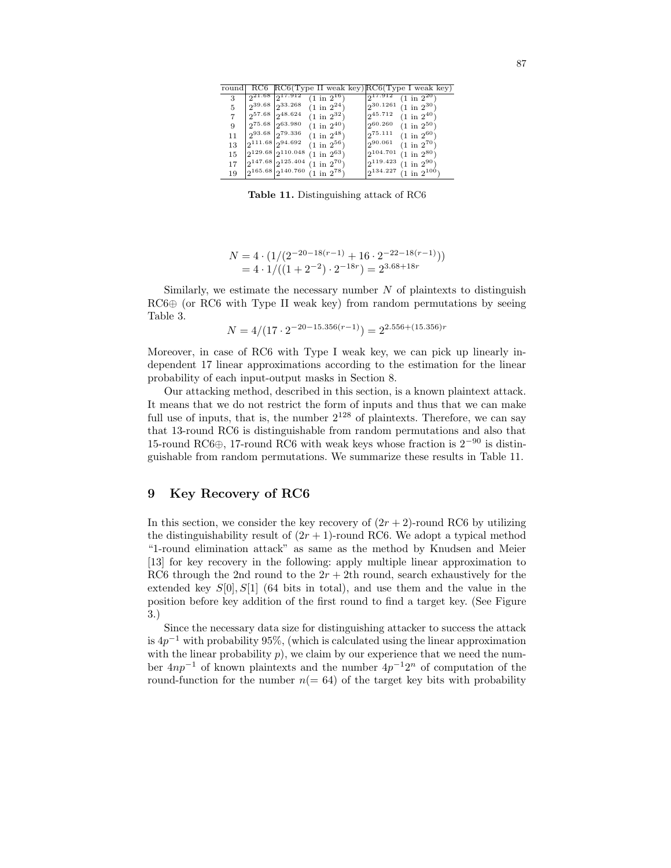| round |                        |                            |                                             | RC6 RC6(Type II weak key)RC6(Type I weak key) |
|-------|------------------------|----------------------------|---------------------------------------------|-----------------------------------------------|
| 3     |                        | $21.68$ $17.912$           | $1 \text{ in } 2^{16}$                      | 217.912<br>$(1 \text{ in } 2^{20})$           |
| 5     | $2^{39.68}$            | 233.268                    | $(1 \text{ in } 2^{24})$                    | 30.1261<br>$(1 \text{ in } 2^{30})$           |
|       |                        | $2^{57.68}$ $2^{48.624}$   | $(1 \text{ in } 2^{32})$                    | 245.712<br>$(1 \text{ in } 2^{40})$           |
| 9     |                        | $2^{75.68}$ $2^{63.980}$   | $(1 \text{ in } 2^{40})$                    | 260.260<br>$(1 \text{ in } 2^{50})$           |
| 11    |                        | $293.68$ $279.336$         | $(1 \text{ in } 2^{48})$                    | 0.75.111<br>$(1 \text{ in } 2^{60})$          |
| 13    | $2^{111.68}2^{94.692}$ |                            | $(1 \text{ in } 2^{56})$                    | 290.061<br>$(1 \text{ in } 2^{70})$           |
| 15    |                        | $2^{129.68}2^{110.048}$    | $(1 \text{ in } 2^{63})$                    | 2104.701<br>$(1 \text{ in } 2^{80})$          |
| 17    |                        | $2^{147.68}$ $2^{125.404}$ | $(1 \text{ in } 2^{70})$                    | $2^{119.423}$<br>$(1 \text{ in } 2^{90})$     |
| 19    |                        |                            | $2^{165.68}$ $2^{140.760}$ (1 in $2^{78}$ ) | $2^{134.227}$<br>$(1 \text{ in } 2^{100})$    |

Table 11. Distinguishing attack of RC6

$$
N = 4 \cdot (1/(2^{-20-18(r-1)} + 16 \cdot 2^{-22-18(r-1)}))
$$
  
= 4 \cdot 1/((1+2^{-2}) \cdot 2^{-18r}) = 2^{3.68+18r}

Similarly, we estimate the necessary number  $N$  of plaintexts to distinguish  $R\text{C6}\oplus$  (or RC6 with Type II weak key) from random permutations by seeing Table 3.

$$
N = 4/(17 \cdot 2^{-20 - 15.356(r-1)}) = 2^{2.556 + (15.356)r}
$$

Moreover, in case of RC6 with Type I weak key, we can pick up linearly independent 17 linear approximations according to the estimation for the linear probability of each input-output masks in Section 8.

Our attacking method, described in this section, is a known plaintext attack. It means that we do not restrict the form of inputs and thus that we can make full use of inputs, that is, the number  $2^{128}$  of plaintexts. Therefore, we can say that 13-round RC6 is distinguishable from random permutations and also that 15-round RC6 $\oplus$ , 17-round RC6 with weak keys whose fraction is  $2^{-90}$  is distinguishable from random permutations. We summarize these results in Table 11.

## Key Recovery of RC6

In this section, we consider the key recovery of  $(2r + 2)$ -round RC6 by utilizing the distinguishability result of  $(2r + 1)$ -round RC6. We adopt a typical method "1-round elimination attack" as same as the method by Knudsen and Meier [13] for key recovery in the following: apply multiple linear approximation to RC6 through the 2nd round to the  $2r + 2$ th round, search exhaustively for the extended key  $S[0], S[1]$  (64 bits in total), and use them and the value in the position before key addition of the first round to find a target key. (See Figure 3.)

Since the necessary data size for distinguishing attacker to success the attack is  $4p^{-1}$  with probability 95%, (which is calculated using the linear approximation with the linear probability  $p$ ), we claim by our experience that we need the number  $4np^{-1}$  of known plaintexts and the number  $4p^{-1}2^n$  of computation of the round-function for the number  $n(= 64)$  of the target key bits with probability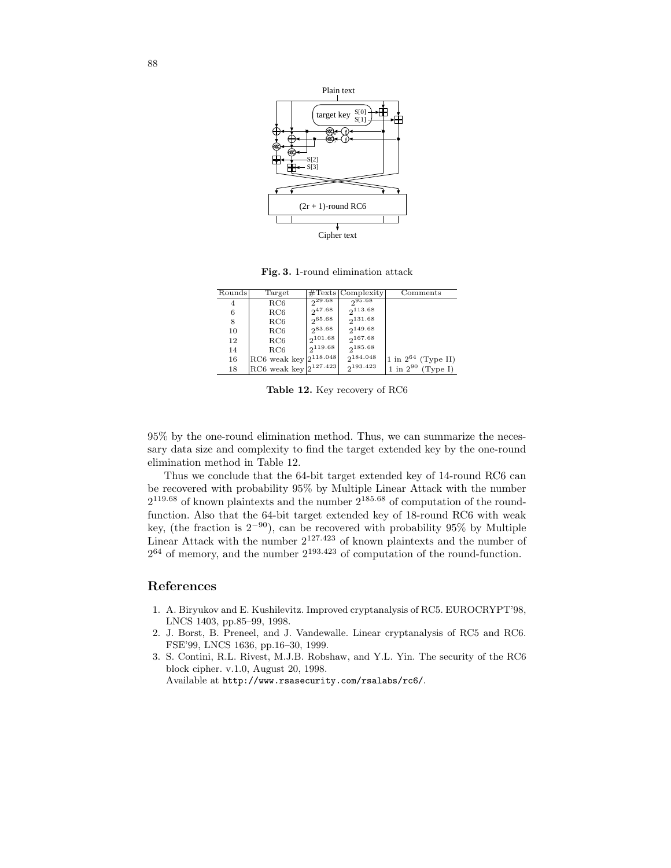

Fig. 3. 1-round elimination attack

| Rounds | Target                                  |              | $\#\text{Texts}$ Complexity | Comments                    |
|--------|-----------------------------------------|--------------|-----------------------------|-----------------------------|
| 4      | RC6                                     | $2^{29.68}$  | 295.68                      |                             |
| 6      | RC6                                     | $2^{47.68}$  | 2113.68                     |                             |
| 8      | RC6                                     | 265.68       | 2131.68                     |                             |
| 10     | RC6                                     | 283.68       | 2149.68                     |                             |
| 12     | RC6                                     | $2^{101.68}$ | 2167.68                     |                             |
| 14     | RC6                                     | $2^{119.68}$ | 2185.68                     |                             |
| 16     | RC6 weak key $\left 2^{118.048}\right $ |              | 2184.048                    | 1 in $2^{64}$ (Type II)     |
| 18     | $\rm{RC6}$ weak key $2^{127.423}$       |              | $2^{193.423}$               | $1$ in $2^{90}$<br>(Tvpe I) |

Table 12. Key recovery of RC6

95% by the one-round elimination method. Thus, we can summarize the necessary data size and complexity to find the target extended key by the one-round elimination method in Table 12.

Thus we conclude that the 64-bit target extended key of 14-round RC6 can be recovered with probability 95% by Multiple Linear Attack with the number  $2^{119.68}$  of known plaintexts and the number  $2^{185.68}$  of computation of the roundfunction. Also that the 64-bit target extended key of 18-round RC6 with weak key, (the fraction is  $2^{-90}$ ), can be recovered with probability 95% by Multiple Linear Attack with the number  $2^{127.423}$  of known plaintexts and the number of  $2^{64}$  of memory, and the number  $2^{193.423}$  of computation of the round-function.

## References

- 1. A. Biryukov and E. Kushilevitz. Improved cryptanalysis of RC5. EUROCRYPT'98, LNCS 1403, pp.85–99, 1998.
- 2. J. Borst, B. Preneel, and J. Vandewalle. Linear cryptanalysis of RC5 and RC6. FSE'99, LNCS 1636, pp.16–30, 1999.
- 3. S. Contini, R.L. Rivest, M.J.B. Robshaw, and Y.L. Yin. The security of the RC6 block cipher. v.1.0, August 20, 1998. Available at http://www.rsasecurity.com/rsalabs/rc6/.